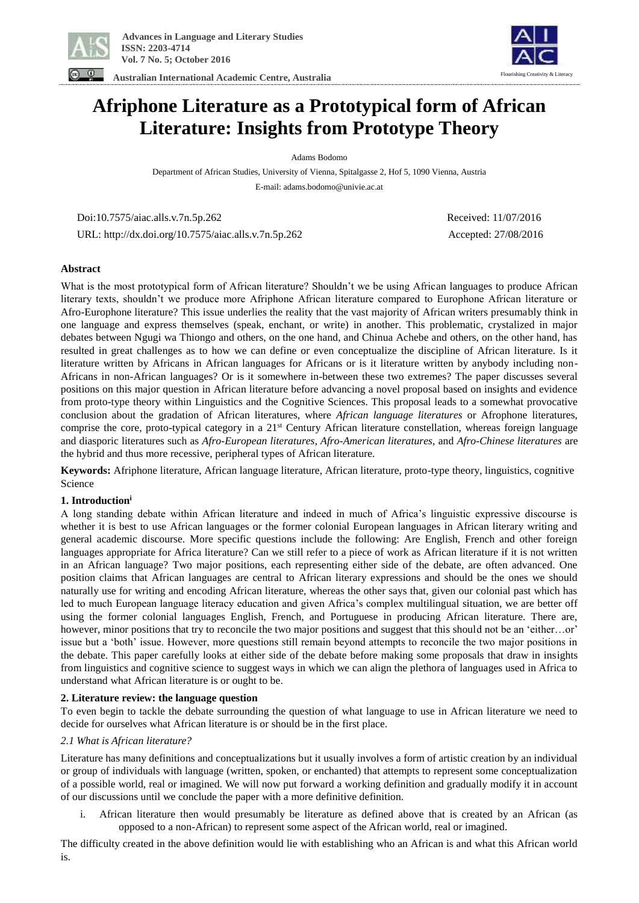

**Australian International Academic Centre, Australia**



## **Afriphone Literature as a Prototypical form of African Literature: Insights from Prototype Theory**

Adams Bodomo

Department of African Studies, University of Vienna, Spitalgasse 2, Hof 5, 1090 Vienna, Austria E-mail: adams.bodomo@univie.ac.at

Doi:10.7575/aiac.alls.v.7n.5p.262 Received: 11/07/2016

URL: http://dx.doi.org/10.7575/aiac.alls.v.7n.5p.262 Accepted: 27/08/2016

**Abstract** 

What is the most prototypical form of African literature? Shouldn't we be using African languages to produce African literary texts, shouldn't we produce more Afriphone African literature compared to Europhone African literature or Afro-Europhone literature? This issue underlies the reality that the vast majority of African writers presumably think in one language and express themselves (speak, enchant, or write) in another. This problematic, crystalized in major debates between Ngugi wa Thiongo and others, on the one hand, and Chinua Achebe and others, on the other hand, has resulted in great challenges as to how we can define or even conceptualize the discipline of African literature. Is it literature written by Africans in African languages for Africans or is it literature written by anybody including non-Africans in non-African languages? Or is it somewhere in-between these two extremes? The paper discusses several positions on this major question in African literature before advancing a novel proposal based on insights and evidence from proto-type theory within Linguistics and the Cognitive Sciences. This proposal leads to a somewhat provocative conclusion about the gradation of African literatures, where *African language literatures* or Afrophone literatures, comprise the core, proto-typical category in a 21st Century African literature constellation, whereas foreign language and diasporic literatures such as *Afro-European literatures*, *Afro-American literatures*, and *Afro-Chinese literatures* are the hybrid and thus more recessive, peripheral types of African literature.

**Keywords:** Afriphone literature, African language literature, African literature, proto-type theory, linguistics, cognitive Science

## **1. Introduction<sup>i</sup>**

A long standing debate within African literature and indeed in much of Africa's linguistic expressive discourse is whether it is best to use African languages or the former colonial European languages in African literary writing and general academic discourse. More specific questions include the following: Are English, French and other foreign languages appropriate for Africa literature? Can we still refer to a piece of work as African literature if it is not written in an African language? Two major positions, each representing either side of the debate, are often advanced. One position claims that African languages are central to African literary expressions and should be the ones we should naturally use for writing and encoding African literature, whereas the other says that, given our colonial past which has led to much European language literacy education and given Africa's complex multilingual situation, we are better off using the former colonial languages English, French, and Portuguese in producing African literature. There are, however, minor positions that try to reconcile the two major positions and suggest that this should not be an 'either...or' issue but a 'both' issue. However, more questions still remain beyond attempts to reconcile the two major positions in the debate. This paper carefully looks at either side of the debate before making some proposals that draw in insights from linguistics and cognitive science to suggest ways in which we can align the plethora of languages used in Africa to understand what African literature is or ought to be.

### **2. Literature review: the language question**

To even begin to tackle the debate surrounding the question of what language to use in African literature we need to decide for ourselves what African literature is or should be in the first place.

### *2.1 What is African literature?*

Literature has many definitions and conceptualizations but it usually involves a form of artistic creation by an individual or group of individuals with language (written, spoken, or enchanted) that attempts to represent some conceptualization of a possible world, real or imagined. We will now put forward a working definition and gradually modify it in account of our discussions until we conclude the paper with a more definitive definition.

i. African literature then would presumably be literature as defined above that is created by an African (as opposed to a non-African) to represent some aspect of the African world, real or imagined.

The difficulty created in the above definition would lie with establishing who an African is and what this African world is.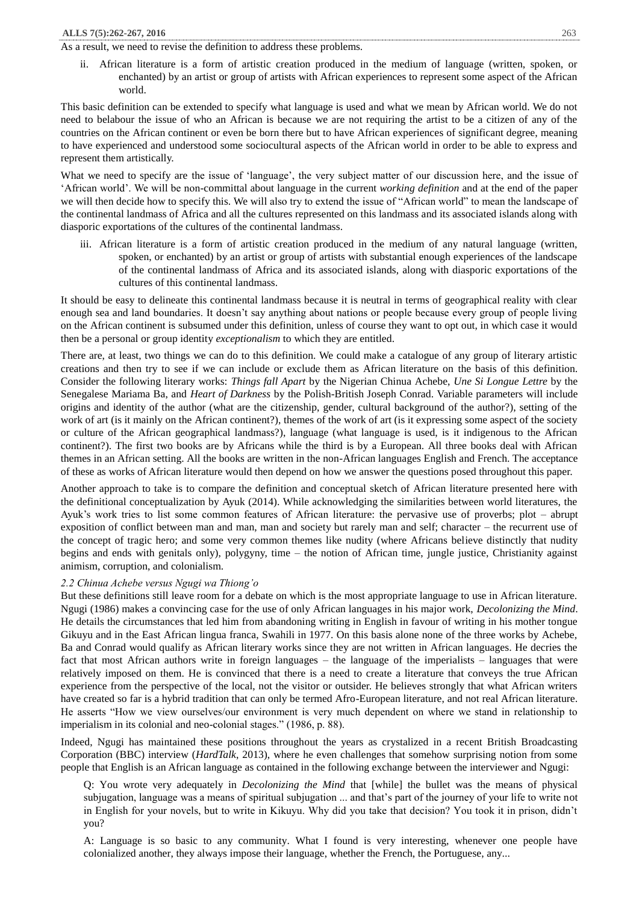### As a result, we need to revise the definition to address these problems.

ii. African literature is a form of artistic creation produced in the medium of language (written, spoken, or enchanted) by an artist or group of artists with African experiences to represent some aspect of the African world.

This basic definition can be extended to specify what language is used and what we mean by African world. We do not need to belabour the issue of who an African is because we are not requiring the artist to be a citizen of any of the countries on the African continent or even be born there but to have African experiences of significant degree, meaning to have experienced and understood some sociocultural aspects of the African world in order to be able to express and represent them artistically.

What we need to specify are the issue of 'language', the very subject matter of our discussion here, and the issue of 'African world'. We will be non-committal about language in the current *working definition* and at the end of the paper we will then decide how to specify this. We will also try to extend the issue of "African world" to mean the landscape of the continental landmass of Africa and all the cultures represented on this landmass and its associated islands along with diasporic exportations of the cultures of the continental landmass.

iii. African literature is a form of artistic creation produced in the medium of any natural language (written, spoken, or enchanted) by an artist or group of artists with substantial enough experiences of the landscape of the continental landmass of Africa and its associated islands, along with diasporic exportations of the cultures of this continental landmass.

It should be easy to delineate this continental landmass because it is neutral in terms of geographical reality with clear enough sea and land boundaries. It doesn't say anything about nations or people because every group of people living on the African continent is subsumed under this definition, unless of course they want to opt out, in which case it would then be a personal or group identity *exceptionalism* to which they are entitled.

There are, at least, two things we can do to this definition. We could make a catalogue of any group of literary artistic creations and then try to see if we can include or exclude them as African literature on the basis of this definition. Consider the following literary works: *Things fall Apart* by the Nigerian Chinua Achebe, *Une Si Longue Lettre* by the Senegalese Mariama Ba, and *Heart of Darkness* by the Polish-British Joseph Conrad. Variable parameters will include origins and identity of the author (what are the citizenship, gender, cultural background of the author?), setting of the work of art (is it mainly on the African continent?), themes of the work of art (is it expressing some aspect of the society or culture of the African geographical landmass?), language (what language is used, is it indigenous to the African continent?). The first two books are by Africans while the third is by a European. All three books deal with African themes in an African setting. All the books are written in the non-African languages English and French. The acceptance of these as works of African literature would then depend on how we answer the questions posed throughout this paper.

Another approach to take is to compare the definition and conceptual sketch of African literature presented here with the definitional conceptualization by Ayuk (2014). While acknowledging the similarities between world literatures, the Ayuk's work tries to list some common features of African literature: the pervasive use of proverbs; plot – abrupt exposition of conflict between man and man, man and society but rarely man and self; character – the recurrent use of the concept of tragic hero; and some very common themes like nudity (where Africans believe distinctly that nudity begins and ends with genitals only), polygyny, time – the notion of African time, jungle justice, Christianity against animism, corruption, and colonialism.

## *2.2 Chinua Achebe versus Ngugi wa Thiong'o*

But these definitions still leave room for a debate on which is the most appropriate language to use in African literature. Ngugi (1986) makes a convincing case for the use of only African languages in his major work, *Decolonizing the Mind*. He details the circumstances that led him from abandoning writing in English in favour of writing in his mother tongue Gikuyu and in the East African lingua franca, Swahili in 1977. On this basis alone none of the three works by Achebe, Ba and Conrad would qualify as African literary works since they are not written in African languages. He decries the fact that most African authors write in foreign languages – the language of the imperialists – languages that were relatively imposed on them. He is convinced that there is a need to create a literature that conveys the true African experience from the perspective of the local, not the visitor or outsider. He believes strongly that what African writers have created so far is a hybrid tradition that can only be termed Afro-European literature, and not real African literature. He asserts "How we view ourselves/our environment is very much dependent on where we stand in relationship to imperialism in its colonial and neo-colonial stages." (1986, p. 88).

Indeed, Ngugi has maintained these positions throughout the years as crystalized in a recent British Broadcasting Corporation (BBC) interview (*HardTalk*, 2013), where he even challenges that somehow surprising notion from some people that English is an African language as contained in the following exchange between the interviewer and Ngugi:

Q: You wrote very adequately in *Decolonizing the Mind* that [while] the bullet was the means of physical subjugation, language was a means of spiritual subjugation ... and that's part of the journey of your life to write not in English for your novels, but to write in Kikuyu. Why did you take that decision? You took it in prison, didn't you?

A: Language is so basic to any community. What I found is very interesting, whenever one people have colonialized another, they always impose their language, whether the French, the Portuguese, any...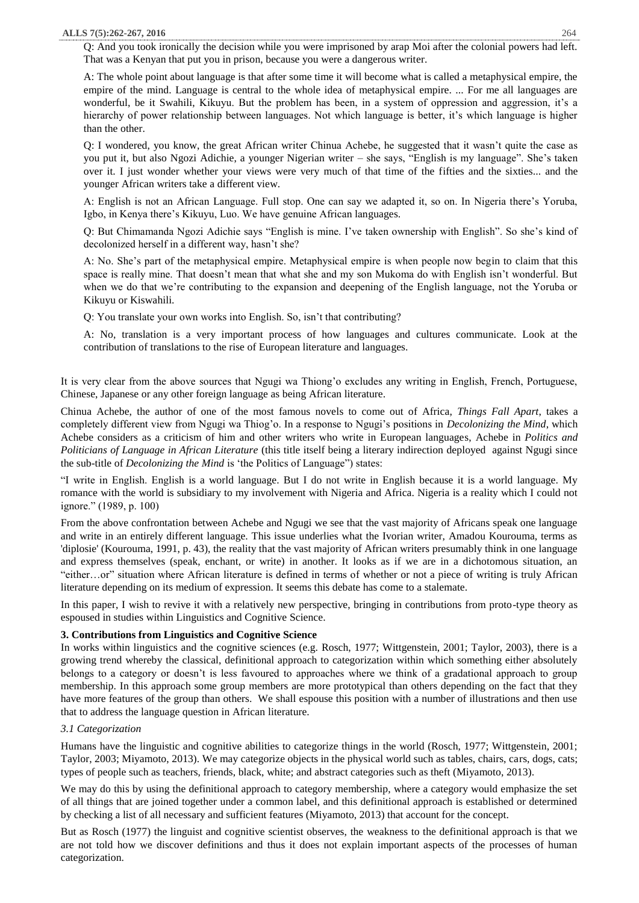Q: And you took ironically the decision while you were imprisoned by arap Moi after the colonial powers had left. That was a Kenyan that put you in prison, because you were a dangerous writer.

A: The whole point about language is that after some time it will become what is called a metaphysical empire, the empire of the mind. Language is central to the whole idea of metaphysical empire. ... For me all languages are wonderful, be it Swahili, Kikuyu. But the problem has been, in a system of oppression and aggression, it's a hierarchy of power relationship between languages. Not which language is better, it's which language is higher than the other.

Q: I wondered, you know, the great African writer Chinua Achebe, he suggested that it wasn't quite the case as you put it, but also Ngozi Adichie, a younger Nigerian writer – she says, "English is my language". She's taken over it. I just wonder whether your views were very much of that time of the fifties and the sixties... and the younger African writers take a different view.

A: English is not an African Language. Full stop. One can say we adapted it, so on. In Nigeria there's Yoruba, Igbo, in Kenya there's Kikuyu, Luo. We have genuine African languages.

Q: But Chimamanda Ngozi Adichie says "English is mine. I've taken ownership with English". So she's kind of decolonized herself in a different way, hasn't she?

A: No. She's part of the metaphysical empire. Metaphysical empire is when people now begin to claim that this space is really mine. That doesn't mean that what she and my son Mukoma do with English isn't wonderful. But when we do that we're contributing to the expansion and deepening of the English language, not the Yoruba or Kikuyu or Kiswahili.

Q: You translate your own works into English. So, isn't that contributing?

A: No, translation is a very important process of how languages and cultures communicate. Look at the contribution of translations to the rise of European literature and languages.

It is very clear from the above sources that Ngugi wa Thiong'o excludes any writing in English, French, Portuguese, Chinese, Japanese or any other foreign language as being African literature.

Chinua Achebe, the author of one of the most famous novels to come out of Africa, *Things Fall Apart*, takes a completely different view from Ngugi wa Thiog'o. In a response to Ngugi's positions in *Decolonizing the Mind*, which Achebe considers as a criticism of him and other writers who write in European languages, Achebe in *Politics and Politicians of Language in African Literature* (this title itself being a literary indirection deployed against Ngugi since the sub-title of *Decolonizing the Mind* is 'the Politics of Language") states:

"I write in English. English is a world language. But I do not write in English because it is a world language. My romance with the world is subsidiary to my involvement with Nigeria and Africa. Nigeria is a reality which I could not ignore." (1989, p. 100)

From the above confrontation between Achebe and Ngugi we see that the vast majority of Africans speak one language and write in an entirely different language. This issue underlies what the Ivorian writer, Amadou Kourouma, terms as 'diplosie' (Kourouma, 1991, p. 43), the reality that the vast majority of African writers presumably think in one language and express themselves (speak, enchant, or write) in another. It looks as if we are in a dichotomous situation, an "either…or" situation where African literature is defined in terms of whether or not a piece of writing is truly African literature depending on its medium of expression. It seems this debate has come to a stalemate.

In this paper, I wish to revive it with a relatively new perspective, bringing in contributions from proto-type theory as espoused in studies within Linguistics and Cognitive Science.

## **3. Contributions from Linguistics and Cognitive Science**

In works within linguistics and the cognitive sciences (e.g. Rosch, 1977; Wittgenstein, 2001; Taylor, 2003), there is a growing trend whereby the classical, definitional approach to categorization within which something either absolutely belongs to a category or doesn't is less favoured to approaches where we think of a gradational approach to group membership. In this approach some group members are more prototypical than others depending on the fact that they have more features of the group than others. We shall espouse this position with a number of illustrations and then use that to address the language question in African literature.

## *3.1 Categorization*

Humans have the linguistic and cognitive abilities to categorize things in the world (Rosch, 1977; Wittgenstein, 2001; Taylor, 2003; Miyamoto, 2013). We may categorize objects in the physical world such as tables, chairs, cars, dogs, cats; types of people such as teachers, friends, black, white; and abstract categories such as theft (Miyamoto, 2013).

We may do this by using the definitional approach to category membership, where a category would emphasize the set of all things that are joined together under a common label, and this definitional approach is established or determined by checking a list of all necessary and sufficient features (Miyamoto, 2013) that account for the concept.

But as Rosch (1977) the linguist and cognitive scientist observes, the weakness to the definitional approach is that we are not told how we discover definitions and thus it does not explain important aspects of the processes of human categorization.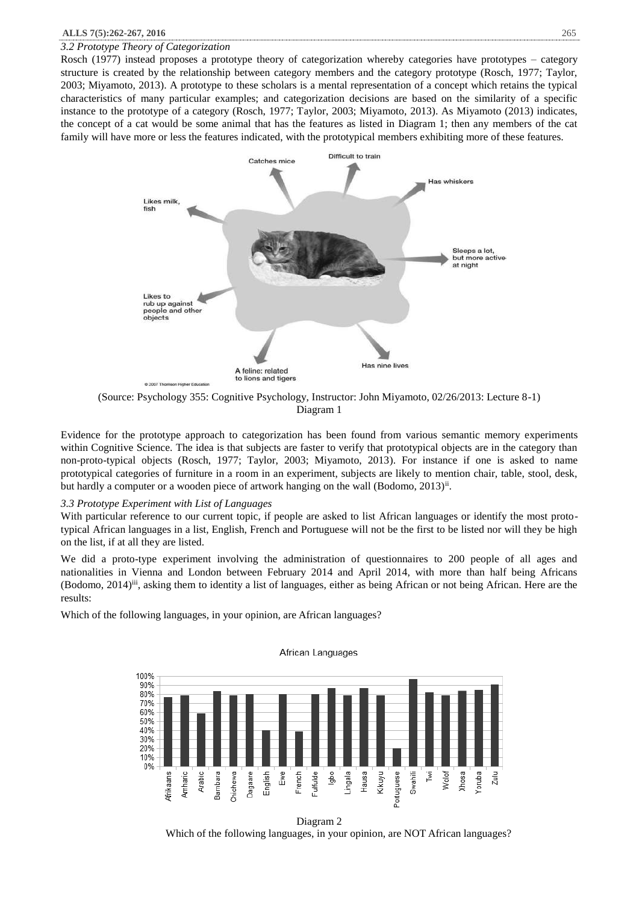### *3.2 Prototype Theory of Categorization*

Rosch (1977) instead proposes a prototype theory of categorization whereby categories have prototypes – category structure is created by the relationship between category members and the category prototype (Rosch, 1977; Taylor, 2003; Miyamoto, 2013). A prototype to these scholars is a mental representation of a concept which retains the typical characteristics of many particular examples; and categorization decisions are based on the similarity of a specific instance to the prototype of a category (Rosch, 1977; Taylor, 2003; Miyamoto, 2013). As Miyamoto (2013) indicates, the concept of a cat would be some animal that has the features as listed in Diagram 1; then any members of the cat family will have more or less the features indicated, with the prototypical members exhibiting more of these features.



(Source: Psychology 355: Cognitive Psychology, Instructor: John Miyamoto, 02/26/2013: Lecture 8-1) Diagram 1

Evidence for the prototype approach to categorization has been found from various semantic memory experiments within Cognitive Science. The idea is that subjects are faster to verify that prototypical objects are in the category than non-proto-typical objects (Rosch, 1977; Taylor, 2003; Miyamoto, 2013). For instance if one is asked to name prototypical categories of furniture in a room in an experiment, subjects are likely to mention chair, table, stool, desk, but hardly a computer or a wooden piece of artwork hanging on the wall (Bodomo, 2013)<sup>ii</sup>.

### *3.3 Prototype Experiment with List of Languages*

With particular reference to our current topic, if people are asked to list African languages or identify the most prototypical African languages in a list, English, French and Portuguese will not be the first to be listed nor will they be high on the list, if at all they are listed.

We did a proto-type experiment involving the administration of questionnaires to 200 people of all ages and nationalities in Vienna and London between February 2014 and April 2014, with more than half being Africans (Bodomo,  $2014$ )<sup>iii</sup>, asking them to identity a list of languages, either as being African or not being African. Here are the results:

Which of the following languages, in your opinion, are African languages?



# African Languages

Diagram 2 Which of the following languages, in your opinion, are NOT African languages?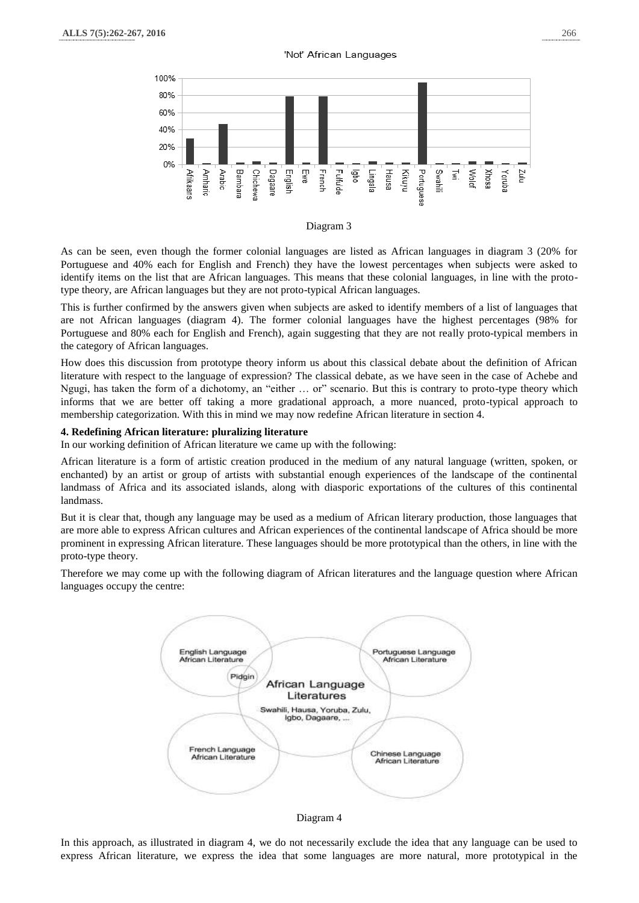

#### Diagram 3

As can be seen, even though the former colonial languages are listed as African languages in diagram 3 (20% for Portuguese and 40% each for English and French) they have the lowest percentages when subjects were asked to identify items on the list that are African languages. This means that these colonial languages, in line with the prototype theory, are African languages but they are not proto-typical African languages.

This is further confirmed by the answers given when subjects are asked to identify members of a list of languages that are not African languages (diagram 4). The former colonial languages have the highest percentages (98% for Portuguese and 80% each for English and French), again suggesting that they are not really proto-typical members in the category of African languages.

How does this discussion from prototype theory inform us about this classical debate about the definition of African literature with respect to the language of expression? The classical debate, as we have seen in the case of Achebe and Ngugi, has taken the form of a dichotomy, an "either … or" scenario. But this is contrary to proto-type theory which informs that we are better off taking a more gradational approach, a more nuanced, proto-typical approach to membership categorization. With this in mind we may now redefine African literature in section 4.

#### **4. Redefining African literature: pluralizing literature**

In our working definition of African literature we came up with the following:

African literature is a form of artistic creation produced in the medium of any natural language (written, spoken, or enchanted) by an artist or group of artists with substantial enough experiences of the landscape of the continental landmass of Africa and its associated islands, along with diasporic exportations of the cultures of this continental landmass.

But it is clear that, though any language may be used as a medium of African literary production, those languages that are more able to express African cultures and African experiences of the continental landscape of Africa should be more prominent in expressing African literature. These languages should be more prototypical than the others, in line with the proto-type theory.

Therefore we may come up with the following diagram of African literatures and the language question where African languages occupy the centre:



Diagram 4

In this approach, as illustrated in diagram 4, we do not necessarily exclude the idea that any language can be used to express African literature, we express the idea that some languages are more natural, more prototypical in the